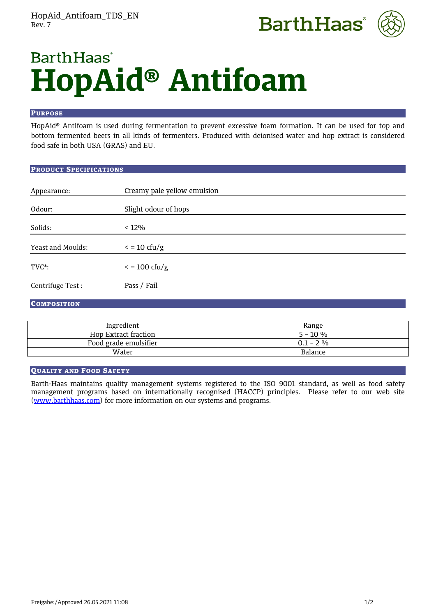



# **BarthHaas HopAid® Antifoam**

#### PURPOSE

HopAid® Antifoam is used during fermentation to prevent excessive foam formation. It can be used for top and bottom fermented beers in all kinds of fermenters. Produced with deionised water and hop extract is considered food safe in both USA (GRAS) and EU.

## PRODUCT SPECIFICATIONS

| Appearance:       | Creamy pale yellow emulsion |
|-------------------|-----------------------------|
| Odour:            | Slight odour of hops        |
| Solids:           | $< 12\%$                    |
| Yeast and Moulds: | $\epsilon$ = 10 cfu/g       |
| $TVC^*$ :         | $\epsilon$ = 100 cfu/g      |
| Centrifuge Test:  | Pass / Fail                 |

## **COMPOSITION**

| Ingredient            | Range       |
|-----------------------|-------------|
| Hop Extract fraction  | $5 - 10 \%$ |
| Food grade emulsifier | $0.1 - 2\%$ |
| Water                 | Balance     |

## QUALITY AND FOOD SAFETY

Barth-Haas maintains quality management systems registered to the ISO 9001 standard, as well as food safety management programs based on internationally recognised (HACCP) principles. Please refer to our web site [\(www.barthhaas.com\)](http://www.barthhaas.com/) for more information on our systems and programs.